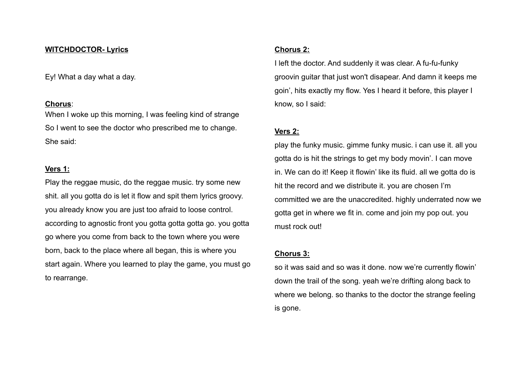#### **WITCHDOCTOR- Lyrics**

Ey! What a day what a day.

### **Chorus**:

When I woke up this morning, I was feeling kind of strange So I went to see the doctor who prescribed me to change. She said:

# **Vers 1:**

Play the reggae music, do the reggae music. try some new shit. all you gotta do is let it flow and spit them lyrics groovy. you already know you are just too afraid to loose control. according to agnostic front you gotta gotta gotta go. you gotta go where you come from back to the town where you were born, back to the place where all began, this is where you start again. Where you learned to play the game, you must go to rearrange.

# **Chorus 2:**

I left the doctor. And suddenly it was clear. A fu-fu-funky groovin guitar that just won't disapear. And damn it keeps me goin', hits exactly my flow. Yes I heard it before, this player I know, so I said:

### **Vers 2:**

play the funky music. gimme funky music. i can use it. all you gotta do is hit the strings to get my body movin'. I can move in. We can do it! Keep it flowin' like its fluid. all we gotta do is hit the record and we distribute it. you are chosen I'm committed we are the unaccredited. highly underrated now we gotta get in where we fit in. come and join my pop out. you must rock out!

### **Chorus 3:**

so it was said and so was it done. now we're currently flowin' down the trail of the song. yeah we're drifting along back to where we belong. so thanks to the doctor the strange feeling is gone.